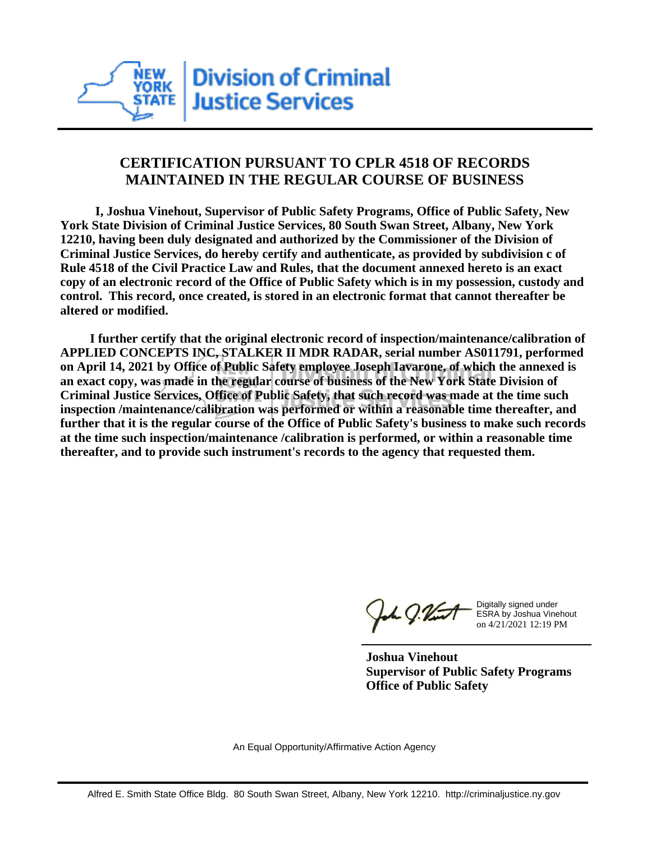

## **CERTIFICATION PURSUANT TO CPLR 4518 OF RECORDS MAINTAINED IN THE REGULAR COURSE OF BUSINESS**

 **I, Joshua Vinehout, Supervisor of Public Safety Programs, Office of Public Safety, New York State Division of Criminal Justice Services, 80 South Swan Street, Albany, New York 12210, having been duly designated and authorized by the Commissioner of the Division of Criminal Justice Services, do hereby certify and authenticate, as provided by subdivision c of Rule 4518 of the Civil Practice Law and Rules, that the document annexed hereto is an exact copy of an electronic record of the Office of Public Safety which is in my possession, custody and control. This record, once created, is stored in an electronic format that cannot thereafter be altered or modified.**

 **I further certify that the original electronic record of inspection/maintenance/calibration of APPLIED CONCEPTS INC, STALKER II MDR RADAR, serial number AS011791, performed on April 14, 2021 by Office of Public Safety employee Joseph Iavarone, of which the annexed is an exact copy, was made in the regular course of business of the New York State Division of Criminal Justice Services, Office of Public Safety, that such record was made at the time such inspection /maintenance/calibration was performed or within a reasonable time thereafter, and further that it is the regular course of the Office of Public Safety's business to make such records at the time such inspection/maintenance /calibration is performed, or within a reasonable time thereafter, and to provide such instrument's records to the agency that requested them.**

the J. Vint

Digitally signed under ESRA by Joshua Vinehout on 4/21/2021 12:19 PM

**Joshua Vinehout Supervisor of Public Safety Programs Office of Public Safety**

An Equal Opportunity/Affirmative Action Agency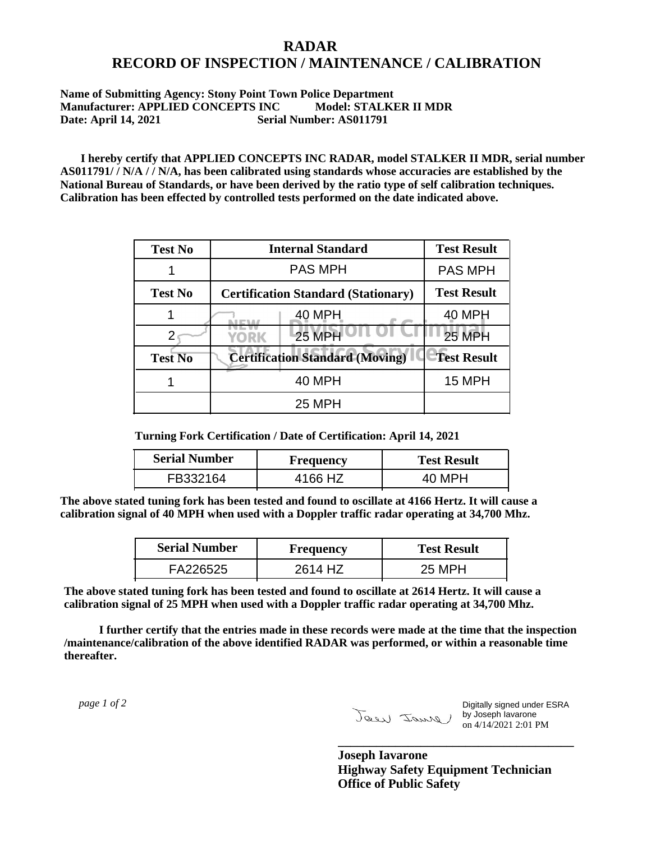## **RADAR RECORD OF INSPECTION / MAINTENANCE / CALIBRATION**

## **Name of Submitting Agency: Stony Point Town Police Department Manufacturer: APPLIED CONCEPTS INC Model: STALKER II MDR Date: April 14, 2021 Serial Number: AS011791**

 **I hereby certify that APPLIED CONCEPTS INC RADAR, model STALKER II MDR, serial number AS011791/ / N/A / / N/A, has been calibrated using standards whose accuracies are established by the National Bureau of Standards, or have been derived by the ratio type of self calibration techniques. Calibration has been effected by controlled tests performed on the date indicated above.**

| <b>Test No</b> | <b>Internal Standard</b>                   | <b>Test Result</b> |
|----------------|--------------------------------------------|--------------------|
|                | <b>PAS MPH</b>                             | <b>PAS MPH</b>     |
| <b>Test No</b> | <b>Certification Standard (Stationary)</b> | <b>Test Result</b> |
|                | 40 MPH                                     | 40 MPH             |
|                | <b>25 MPH</b><br>YORK                      | <b>25 MPH</b>      |
| <b>Test No</b> | <b>Certification Standard (Moving)</b>     | <b>Test Result</b> |
|                | <b>40 MPH</b>                              | 15 MPH             |
|                | <b>25 MPH</b>                              |                    |

**Turning Fork Certification / Date of Certification: April 14, 2021**

| <b>Serial Number</b> | <b>Frequency</b> | <b>Test Result</b> |
|----------------------|------------------|--------------------|
| FB332164             | 4166 HZ          | 40 MPH             |

**The above stated tuning fork has been tested and found to oscillate at 4166 Hertz. It will cause a calibration signal of 40 MPH when used with a Doppler traffic radar operating at 34,700 Mhz.**

| <b>Serial Number</b> | Frequency | <b>Test Result</b> |
|----------------------|-----------|--------------------|
| FA226525             | 2614 HZ   | 25 MPH             |

**The above stated tuning fork has been tested and found to oscillate at 2614 Hertz. It will cause a calibration signal of 25 MPH when used with a Doppler traffic radar operating at 34,700 Mhz.**

 **I further certify that the entries made in these records were made at the time that the inspection /maintenance/calibration of the above identified RADAR was performed, or within a reasonable time thereafter.**

 *page 1 of 2* 

Digitally signed under ESRA by Joseph Iavarone on 4/14/2021 2:01 PM

**Joseph Iavarone Highway Safety Equipment Technician Office of Public Safety**

**\_\_\_\_\_\_\_\_\_\_\_\_\_\_\_\_\_\_\_\_\_\_\_\_\_\_\_\_\_\_\_\_\_\_\_\_\_**